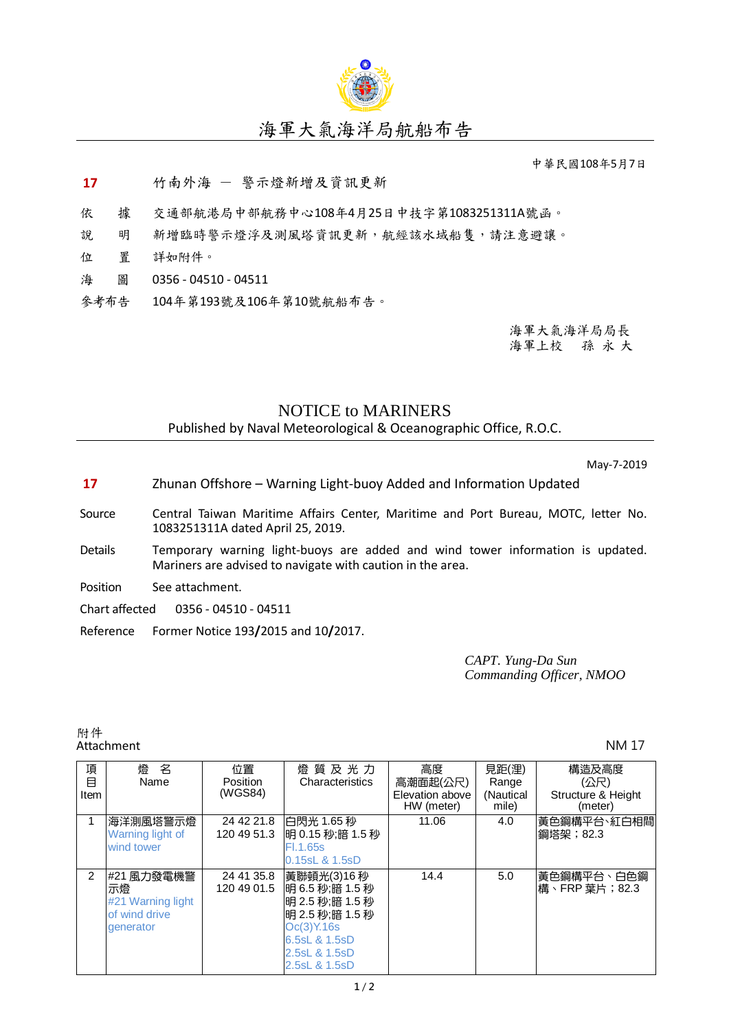

## 海軍大氣海洋局航船布告

中華民國108年5月7日

**17** 竹南外海 - 警示燈新增及資訊更新

依 據 交通部航港局中部航務中心108年4月25日中技字第1083251311A號函。

說 明 新增臨時警示燈浮及測風塔資訊更新,航經該水域船隻,請注意避讓。

- 位 置 詳如附件。
- 海 圖 0356 04510 04511
- 參考布告 104年第193號及106年第10號航船布告。

海軍大氣海洋局局長 海軍上校 孫 永 大

## NOTICE to MARINERS

Published by Naval Meteorological & Oceanographic Office, R.O.C.

May-7-2019

- **17** Zhunan Offshore Warning Light-buoy Added and Information Updated
- Source Central Taiwan Maritime Affairs Center, Maritime and Port Bureau, MOTC, letter No. 1083251311A dated April 25, 2019.
- Details Temporary warning light-buoys are added and wind tower information is updated. Mariners are advised to navigate with caution in the area.
- Position See attachment.

Chart affected 0356 - 04510 - 04511

Reference Former Notice 193**/**2015 and 10**/**2017.

*CAPT. Yung-Da Sun Commanding Officer, NMOO*

附件<br>Attachment Attachment NM 17

| 項<br>目<br>Item | 名<br>燈<br>Name                                                      | 位置<br><b>Position</b><br>(WGS84) | 燈 質 及 光 力<br>Characteristics                                                                                                             | 高度<br>高潮面起(公尺)<br>Elevation above | 見距(浬)<br>Range<br>(Nautical | 構造及高度<br>(公尺)<br>Structure & Height |
|----------------|---------------------------------------------------------------------|----------------------------------|------------------------------------------------------------------------------------------------------------------------------------------|-----------------------------------|-----------------------------|-------------------------------------|
|                |                                                                     |                                  |                                                                                                                                          | HW (meter)                        | mile)                       | (meter)                             |
|                | 海洋測風塔警示燈<br>Warning light of<br>wind tower                          | 24 42 21.8<br>120 49 51.3        | 白閃光 1.65 秒<br> 明 0.15 秒;暗 1.5 秒 <br>Fl.1.65s<br>0.15sL & 1.5sD                                                                           | 11.06                             | 4.0                         | 黃色鋼構平台、紅白相間<br>鋼塔架; 82.3            |
| $\mathcal{P}$  | #21 風力發電機警<br>示燈<br>#21 Warning light<br>of wind drive<br>generator | 24 41 35.8<br>120 49 01.5        | 黃聯頓光(3)16 秒 <br>旧 6.5 秒:暗 1.5 秒<br> 明 2.5 秒;暗 1.5 秒<br> 明 2.5 秒;暗 1.5 秒<br>Oc(3)Y.16s<br>6.5sL & 1.5sD<br>2.5sL & 1.5sD<br>2.5sL & 1.5sD | 14.4                              | 5.0                         | 黃色鋼構平台、白色鋼<br>構、FRP 葉片; 82.3        |